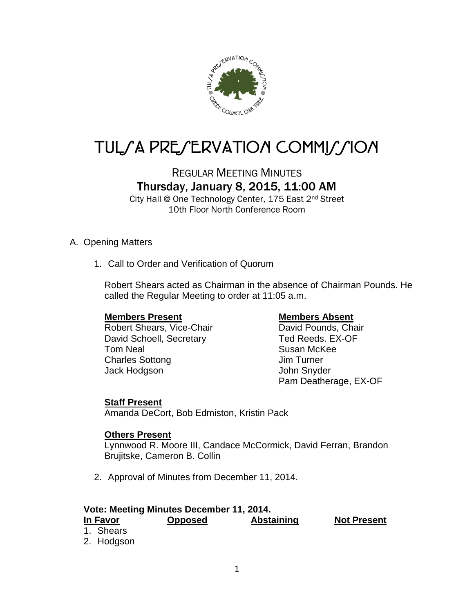

# TUL/A PRE/ERVATION COMMI//ION

## REGULAR MEETING MINUTES Thursday, January 8, 2015, 11:00 AM

City Hall @ One Technology Center, 175 East 2nd Street 10th Floor North Conference Room

#### A. Opening Matters

1. Call to Order and Verification of Quorum

Robert Shears acted as Chairman in the absence of Chairman Pounds. He called the Regular Meeting to order at 11:05 a.m.

Robert Shears, Vice-Chair **David Pounds, Chair** David Schoell, Secretary Ted Reeds. EX-OF Tom Neal Susan McKee Charles Sottong **Im Turner** Jack Hodgson John Snyder

#### **Members Present Members Absent**

Pam Deatherage, EX-OF

### **Staff Present**

Amanda DeCort, Bob Edmiston, Kristin Pack

#### **Others Present**

Lynnwood R. Moore III, Candace McCormick, David Ferran, Brandon Brujitske, Cameron B. Collin

2. Approval of Minutes from December 11, 2014.

#### **Vote: Meeting Minutes December 11, 2014.**

#### **In Favor Opposed Abstaining Not Present** 1. Shears 2. Hodgson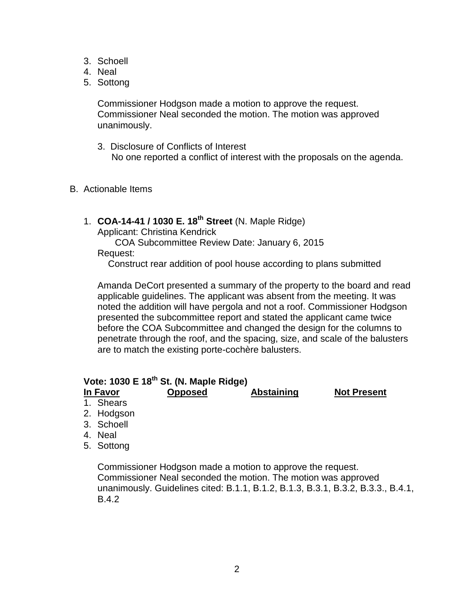- 3. Schoell
- 4. Neal
- 5. Sottong

Commissioner Hodgson made a motion to approve the request. Commissioner Neal seconded the motion. The motion was approved unanimously.

- 3. Disclosure of Conflicts of Interest No one reported a conflict of interest with the proposals on the agenda.
- B. Actionable Items
	- 1. **COA-14-41 / 1030 E. 18th Street** (N. Maple Ridge)

Applicant: Christina Kendrick

COA Subcommittee Review Date: January 6, 2015 Request:

Construct rear addition of pool house according to plans submitted

Amanda DeCort presented a summary of the property to the board and read applicable guidelines. The applicant was absent from the meeting. It was noted the addition will have pergola and not a roof. Commissioner Hodgson presented the subcommittee report and stated the applicant came twice before the COA Subcommittee and changed the design for the columns to penetrate through the roof, and the spacing, size, and scale of the balusters are to match the existing porte-cochère balusters.

### **Vote: 1030 E 18th St. (N. Maple Ridge)**

**In Favor Opposed Abstaining Not Present**

- 1. Shears
- 2. Hodgson
- 3. Schoell
- 4. Neal
- 5. Sottong

Commissioner Hodgson made a motion to approve the request. Commissioner Neal seconded the motion. The motion was approved unanimously. Guidelines cited: B.1.1, B.1.2, B.1.3, B.3.1, B.3.2, B.3.3., B.4.1, B.4.2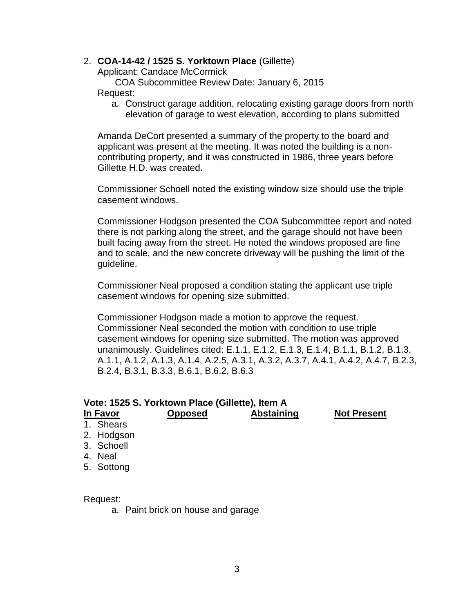#### 2. **COA-14-42 / 1525 S. Yorktown Place** (Gillette)

Applicant: Candace McCormick

COA Subcommittee Review Date: January 6, 2015 Request:

a. Construct garage addition, relocating existing garage doors from north elevation of garage to west elevation, according to plans submitted

Amanda DeCort presented a summary of the property to the board and applicant was present at the meeting. It was noted the building is a noncontributing property, and it was constructed in 1986, three years before Gillette H.D. was created.

Commissioner Schoell noted the existing window size should use the triple casement windows.

Commissioner Hodgson presented the COA Subcommittee report and noted there is not parking along the street, and the garage should not have been built facing away from the street. He noted the windows proposed are fine and to scale, and the new concrete driveway will be pushing the limit of the guideline.

Commissioner Neal proposed a condition stating the applicant use triple casement windows for opening size submitted.

Commissioner Hodgson made a motion to approve the request. Commissioner Neal seconded the motion with condition to use triple casement windows for opening size submitted. The motion was approved unanimously. Guidelines cited: E.1.1, E.1.2, E.1.3, E.1.4, B.1.1, B.1.2, B.1.3, A.1.1, A.1.2, A.1.3, A.1.4, A.2.5, A.3.1, A.3.2, A.3.7, A.4.1, A.4.2, A.4.7, B.2.3, B.2.4, B.3.1, B.3.3, B.6.1, B.6.2, B.6.3

| Vote: 1525 S. Yorktown Place (Gillette), Item A |            |                |                   |                    |  |  |  |  |  |
|-------------------------------------------------|------------|----------------|-------------------|--------------------|--|--|--|--|--|
| In Favor                                        |            | <b>Opposed</b> | <b>Abstaining</b> | <b>Not Present</b> |  |  |  |  |  |
|                                                 | 1. Shears  |                |                   |                    |  |  |  |  |  |
|                                                 | 2. Hodgson |                |                   |                    |  |  |  |  |  |
|                                                 | 3. Schoell |                |                   |                    |  |  |  |  |  |
|                                                 | 4. Neal    |                |                   |                    |  |  |  |  |  |
|                                                 | 5. Sottong |                |                   |                    |  |  |  |  |  |

Request:

a. Paint brick on house and garage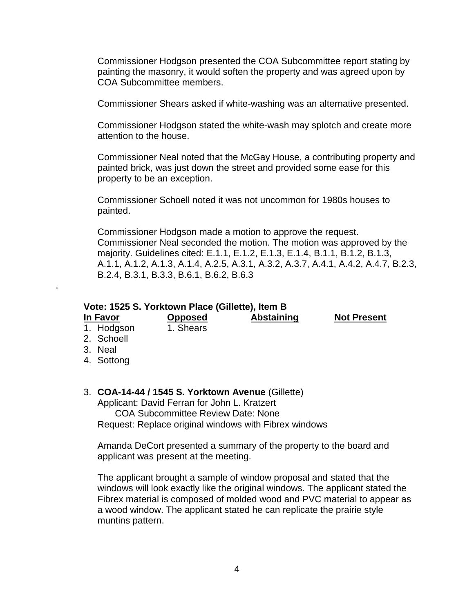Commissioner Hodgson presented the COA Subcommittee report stating by painting the masonry, it would soften the property and was agreed upon by COA Subcommittee members.

Commissioner Shears asked if white-washing was an alternative presented.

Commissioner Hodgson stated the white-wash may splotch and create more attention to the house.

Commissioner Neal noted that the McGay House, a contributing property and painted brick, was just down the street and provided some ease for this property to be an exception.

Commissioner Schoell noted it was not uncommon for 1980s houses to painted.

Commissioner Hodgson made a motion to approve the request. Commissioner Neal seconded the motion. The motion was approved by the majority. Guidelines cited: E.1.1, E.1.2, E.1.3, E.1.4, B.1.1, B.1.2, B.1.3, A.1.1, A.1.2, A.1.3, A.1.4, A.2.5, A.3.1, A.3.2, A.3.7, A.4.1, A.4.2, A.4.7, B.2.3, B.2.4, B.3.1, B.3.3, B.6.1, B.6.2, B.6.3

#### **Vote: 1525 S. Yorktown Place (Gillette), Item B**

**In Favor Opposed Abstaining Not Present**

- 1. Hodgson 1. Shears
- 2. Schoell
- 3. Neal

.

4. Sottong

#### 3. **COA-14-44 / 1545 S. Yorktown Avenue** (Gillette)

Applicant: David Ferran for John L. Kratzert

COA Subcommittee Review Date: None Request: Replace original windows with Fibrex windows

Amanda DeCort presented a summary of the property to the board and applicant was present at the meeting.

The applicant brought a sample of window proposal and stated that the windows will look exactly like the original windows. The applicant stated the Fibrex material is composed of molded wood and PVC material to appear as a wood window. The applicant stated he can replicate the prairie style muntins pattern.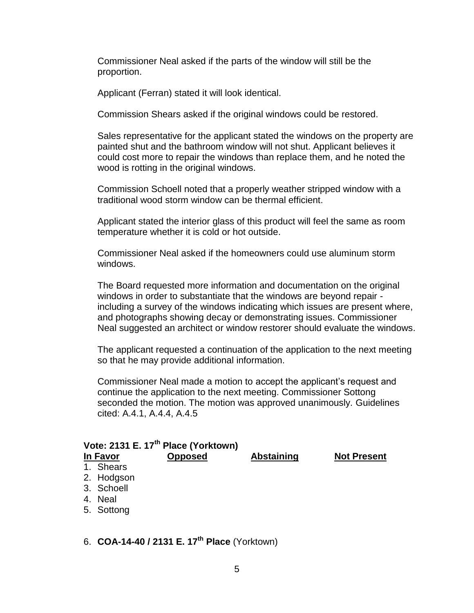Commissioner Neal asked if the parts of the window will still be the proportion.

Applicant (Ferran) stated it will look identical.

Commission Shears asked if the original windows could be restored.

Sales representative for the applicant stated the windows on the property are painted shut and the bathroom window will not shut. Applicant believes it could cost more to repair the windows than replace them, and he noted the wood is rotting in the original windows.

Commission Schoell noted that a properly weather stripped window with a traditional wood storm window can be thermal efficient.

Applicant stated the interior glass of this product will feel the same as room temperature whether it is cold or hot outside.

Commissioner Neal asked if the homeowners could use aluminum storm windows.

The Board requested more information and documentation on the original windows in order to substantiate that the windows are beyond repair including a survey of the windows indicating which issues are present where, and photographs showing decay or demonstrating issues. Commissioner Neal suggested an architect or window restorer should evaluate the windows.

The applicant requested a continuation of the application to the next meeting so that he may provide additional information.

Commissioner Neal made a motion to accept the applicant's request and continue the application to the next meeting. Commissioner Sottong seconded the motion. The motion was approved unanimously. Guidelines cited: A.4.1, A.4.4, A.4.5

| Vote: 2131 E. 17 <sup>th</sup> Place (Yorktown) |            |                |                   |                    |  |  |  |  |  |
|-------------------------------------------------|------------|----------------|-------------------|--------------------|--|--|--|--|--|
|                                                 | In Favor   | <b>Opposed</b> | <b>Abstaining</b> | <b>Not Present</b> |  |  |  |  |  |
|                                                 | 1. Shears  |                |                   |                    |  |  |  |  |  |
|                                                 | 2. Hodgson |                |                   |                    |  |  |  |  |  |
|                                                 | 3. Schoell |                |                   |                    |  |  |  |  |  |
|                                                 | 4. Neal    |                |                   |                    |  |  |  |  |  |
|                                                 | 5. Sottong |                |                   |                    |  |  |  |  |  |
|                                                 |            |                |                   |                    |  |  |  |  |  |

6. **COA-14-40 / 2131 E. 17th Place** (Yorktown)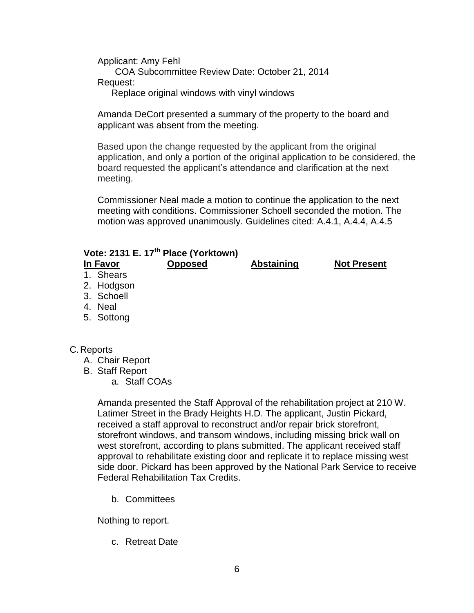Applicant: Amy Fehl COA Subcommittee Review Date: October 21, 2014 Request:

Replace original windows with vinyl windows

Amanda DeCort presented a summary of the property to the board and applicant was absent from the meeting.

Based upon the change requested by the applicant from the original application, and only a portion of the original application to be considered, the board requested the applicant's attendance and clarification at the next meeting.

Commissioner Neal made a motion to continue the application to the next meeting with conditions. Commissioner Schoell seconded the motion. The motion was approved unanimously. Guidelines cited: A.4.1, A.4.4, A.4.5

| Vote: 2131 E. 17 <sup>th</sup> Place (Yorktown) |            |                |                   |                    |  |  |  |  |
|-------------------------------------------------|------------|----------------|-------------------|--------------------|--|--|--|--|
| In Favor                                        |            | <b>Opposed</b> | <b>Abstaining</b> | <b>Not Present</b> |  |  |  |  |
|                                                 | 1. Shears  |                |                   |                    |  |  |  |  |
|                                                 | 2. Hodgson |                |                   |                    |  |  |  |  |
|                                                 | 3. Schoell |                |                   |                    |  |  |  |  |
|                                                 | 4. Neal    |                |                   |                    |  |  |  |  |
|                                                 | 5. Sottong |                |                   |                    |  |  |  |  |
|                                                 |            |                |                   |                    |  |  |  |  |

#### C.Reports

- A. Chair Report
- B. Staff Report
	- a. Staff COAs

Amanda presented the Staff Approval of the rehabilitation project at 210 W. Latimer Street in the Brady Heights H.D. The applicant, Justin Pickard, received a staff approval to reconstruct and/or repair brick storefront, storefront windows, and transom windows, including missing brick wall on west storefront, according to plans submitted. The applicant received staff approval to rehabilitate existing door and replicate it to replace missing west side door. Pickard has been approved by the National Park Service to receive Federal Rehabilitation Tax Credits.

b. Committees

Nothing to report.

c. Retreat Date